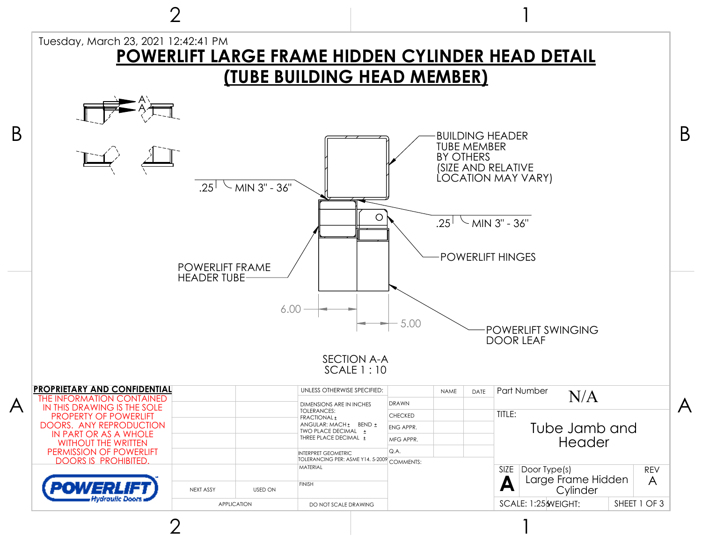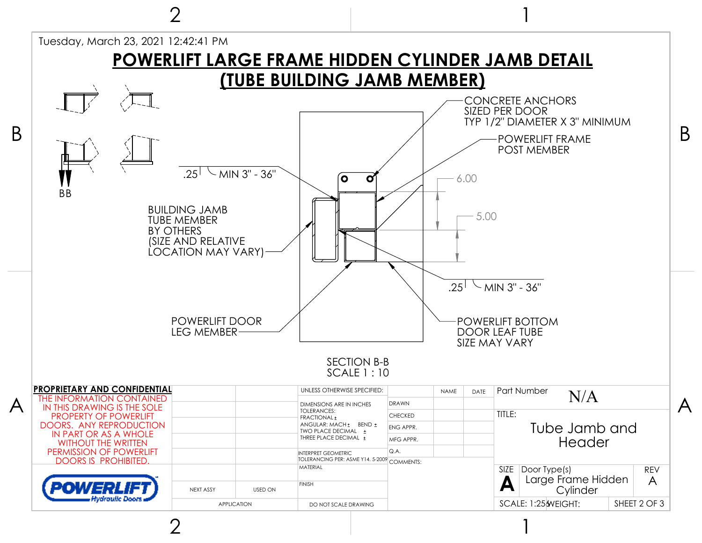